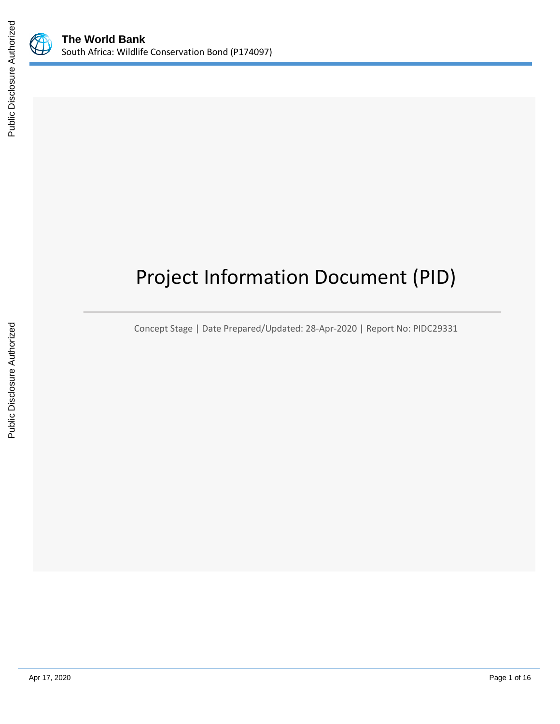



# Project Information Document (PID)

Concept Stage | Date Prepared/Updated: 28-Apr-2020 | Report No: PIDC29331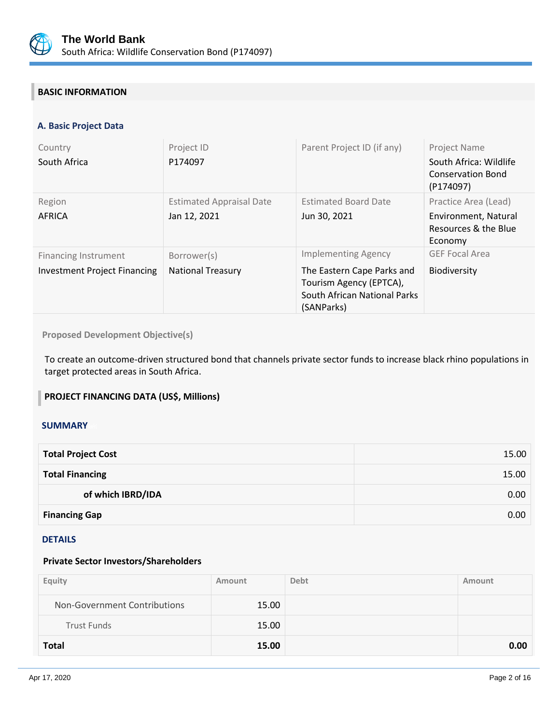

# **BASIC INFORMATION**

## **A. Basic Project Data**

| Country<br>South Africa                                            | Project ID<br>P174097                           | Parent Project ID (if any)                                                                                                        | <b>Project Name</b><br>South Africa: Wildlife<br><b>Conservation Bond</b><br>(P174097) |
|--------------------------------------------------------------------|-------------------------------------------------|-----------------------------------------------------------------------------------------------------------------------------------|----------------------------------------------------------------------------------------|
| Region<br>AFRICA                                                   | <b>Estimated Appraisal Date</b><br>Jan 12, 2021 | <b>Estimated Board Date</b><br>Jun 30, 2021                                                                                       | Practice Area (Lead)<br>Environment, Natural<br>Resources & the Blue<br>Economy        |
| <b>Financing Instrument</b><br><b>Investment Project Financing</b> | Borrower(s)<br><b>National Treasury</b>         | <b>Implementing Agency</b><br>The Eastern Cape Parks and<br>Tourism Agency (EPTCA),<br>South African National Parks<br>(SANParks) | <b>GEF Focal Area</b><br><b>Biodiversity</b>                                           |

# **Proposed Development Objective(s)**

To create an outcome-driven structured bond that channels private sector funds to increase black rhino populations in target protected areas in South Africa.

## **PROJECT FINANCING DATA (US\$, Millions)**

#### **SUMMARY**

| <b>Total Project Cost</b> | 15.00 |
|---------------------------|-------|
| <b>Total Financing</b>    | 15.00 |
| of which IBRD/IDA         | 0.00  |
| <b>Financing Gap</b>      | 0.00  |

#### DETAILS

#### **Private Sector Investors/Shareholders**

| Equity                       | Amount | <b>Debt</b> | Amount |
|------------------------------|--------|-------------|--------|
| Non-Government Contributions | 15.00  |             |        |
| <b>Trust Funds</b>           | 15.00  |             |        |
| <b>Total</b>                 | 15.00  |             | 0.00   |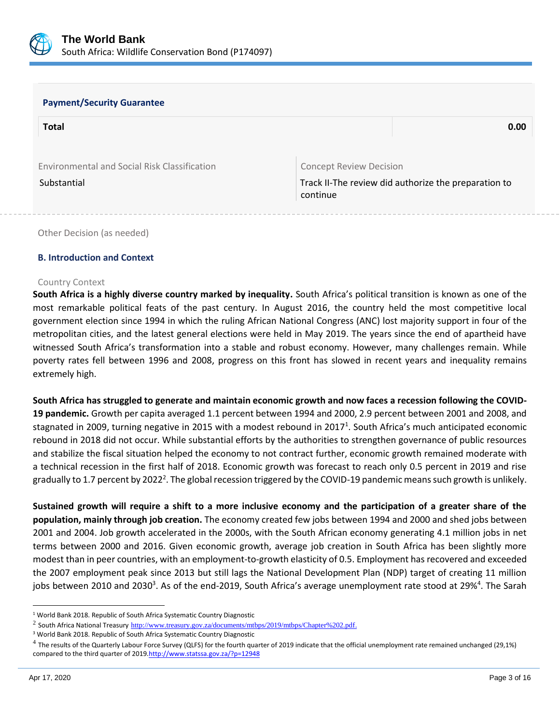

#### **Payment/Security Guarantee**

| <b>Total</b>                                 |                                | 0.00                                                 |
|----------------------------------------------|--------------------------------|------------------------------------------------------|
|                                              |                                |                                                      |
| Environmental and Social Risk Classification | <b>Concept Review Decision</b> |                                                      |
| Substantial                                  | continue                       | Track II-The review did authorize the preparation to |

Other Decision (as needed)

#### **B. Introduction and Context**

#### Country Context

**South Africa is a highly diverse country marked by inequality.** South Africa's political transition is known as one of the most remarkable political feats of the past century. In August 2016, the country held the most competitive local government election since 1994 in which the ruling African National Congress (ANC) lost majority support in four of the metropolitan cities, and the latest general elections were held in May 2019. The years since the end of apartheid have witnessed South Africa's transformation into a stable and robust economy. However, many challenges remain. While poverty rates fell between 1996 and 2008, progress on this front has slowed in recent years and inequality remains extremely high.

**South Africa has struggled to generate and maintain economic growth and now faces a recession following the COVID-19 pandemic.** Growth per capita averaged 1.1 percent between 1994 and 2000, 2.9 percent between 2001 and 2008, and stagnated in 2009, turning negative in 2015 with a modest rebound in 2017<sup>1</sup>. South Africa's much anticipated economic rebound in 2018 did not occur. While substantial efforts by the authorities to strengthen governance of public resources and stabilize the fiscal situation helped the economy to not contract further, economic growth remained moderate with a technical recession in the first half of 2018. Economic growth was forecast to reach only 0.5 percent in 2019 and rise gradually to 1.7 percent by 2022<sup>2</sup>. The global recession triggered by the COVID-19 pandemic means such growth is unlikely.

**Sustained growth will require a shift to a more inclusive economy and the participation of a greater share of the population, mainly through job creation.** The economy created few jobs between 1994 and 2000 and shed jobs between 2001 and 2004. Job growth accelerated in the 2000s, with the South African economy generating 4.1 million jobs in net terms between 2000 and 2016. Given economic growth, average job creation in South Africa has been slightly more modest than in peer countries, with an employment-to-growth elasticity of 0.5. Employment has recovered and exceeded the 2007 employment peak since 2013 but still lags the National Development Plan (NDP) target of creating 11 million jobs between 2010 and 2030<sup>3</sup>. As of the end-2019, South Africa's average unemployment rate stood at 29%<sup>4</sup>. The Sarah

<sup>&</sup>lt;sup>1</sup> World Bank 2018. Republic of South Africa Systematic Country Diagnostic

<sup>&</sup>lt;sup>2</sup> South Africa National Treasury <u>[http://www.treasury.gov.za/documents/mtbps/2019/mtbps/Chapter%202.pdf.](http://www.treasury.gov.za/documents/mtbps/2019/mtbps/Chapter%202.pdf)</u>

<sup>3</sup> World Bank 2018. Republic of South Africa Systematic Country Diagnostic

<sup>&</sup>lt;sup>4</sup> The results of the Quarterly Labour Force Survey (QLFS) for the fourth quarter of 2019 indicate that the official unemployment rate remained unchanged (29,1%) compared to the third quarter of 201[9.http://www.statssa.gov.za/?p=12948](http://www.statssa.gov.za/?p=12948)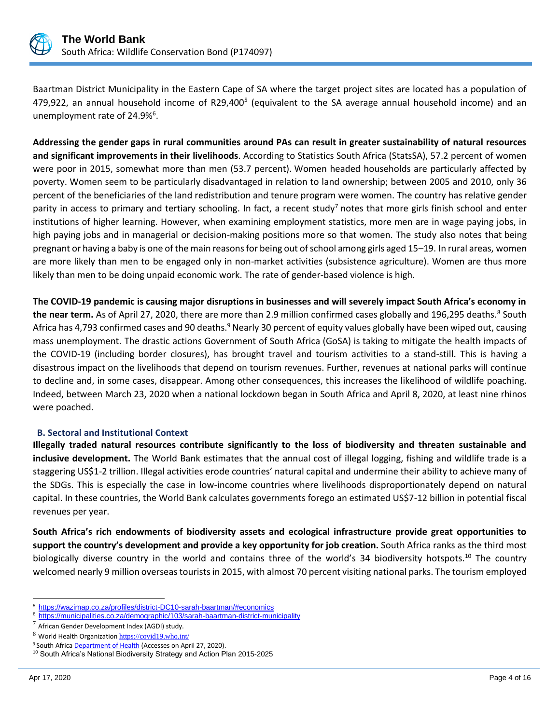

Baartman District Municipality in the Eastern Cape of SA where the target project sites are located has a population of 479,922, an annual household income of R29,400<sup>5</sup> (equivalent to the SA average annual household income) and an unemployment rate of 24.9%<sup>6</sup>.

**Addressing the gender gaps in rural communities around PAs can result in greater sustainability of natural resources and significant improvements in their livelihoods**. According to Statistics South Africa (StatsSA), 57.2 percent of women were poor in 2015, somewhat more than men (53.7 percent). Women headed households are particularly affected by poverty. Women seem to be particularly disadvantaged in relation to land ownership; between 2005 and 2010, only 36 percent of the beneficiaries of the land redistribution and tenure program were women. The country has relative gender parity in access to primary and tertiary schooling. In fact, a recent study<sup>7</sup> notes that more girls finish school and enter institutions of higher learning. However, when examining employment statistics, more men are in wage paying jobs, in high paying jobs and in managerial or decision-making positions more so that women. The study also notes that being pregnant or having a baby is one of the main reasons for being out of school among girls aged 15–19. In rural areas, women are more likely than men to be engaged only in non-market activities (subsistence agriculture). Women are thus more likely than men to be doing unpaid economic work. The rate of gender-based violence is high.

**The COVID-19 pandemic is causing major disruptions in businesses and will severely impact South Africa's economy in**  the near term. As of April 27, 2020, there are more than 2.9 million confirmed cases globally and 196,295 deaths.<sup>8</sup> South Africa has 4,793 confirmed cases and 90 deaths.<sup>9</sup> Nearly 30 percent of equity values globally have been wiped out, causing mass unemployment. The drastic actions Government of South Africa (GoSA) is taking to mitigate the health impacts of the COVID-19 (including border closures), has brought travel and tourism activities to a stand-still. This is having a disastrous impact on the livelihoods that depend on tourism revenues. Further, revenues at national parks will continue to decline and, in some cases, disappear. Among other consequences, this increases the likelihood of wildlife poaching. Indeed, between March 23, 2020 when a national lockdown began in South Africa and April 8, 2020, at least nine rhinos were poached.

## **B. Sectoral and Institutional Context**

**Illegally traded natural resources contribute significantly to the loss of biodiversity and threaten sustainable and inclusive development.** The World Bank estimates that the annual cost of illegal logging, fishing and wildlife trade is a staggering US\$1-2 trillion. Illegal activities erode countries' natural capital and undermine their ability to achieve many of the SDGs. This is especially the case in low-income countries where livelihoods disproportionately depend on natural capital. In these countries, the World Bank calculates governments forego an estimated US\$7-12 billion in potential fiscal revenues per year.

**South Africa's rich endowments of biodiversity assets and ecological infrastructure provide great opportunities to support the country's development and provide a key opportunity for job creation.** South Africa ranks as the third most biologically diverse country in the world and contains three of the world's 34 biodiversity hotspots.<sup>10</sup> The country welcomed nearly 9 million overseas tourists in 2015, with almost 70 percent visiting national parks. The tourism employed

<sup>5</sup> <https://wazimap.co.za/profiles/district-DC10-sarah-baartman/#economics>

<sup>&</sup>lt;sup>6</sup> <https://municipalities.co.za/demographic/103/sarah-baartman-district-municipality>

 $7$  African Gender Development Index (AGDI) study.

<sup>8</sup> World Health Organization <https://covid19.who.int/>

<sup>&</sup>lt;sup>9</sup> South Africa **Department of Health** (Accesses on April 27, 2020).

<sup>&</sup>lt;sup>10</sup> South Africa's National Biodiversity Strategy and Action Plan 2015-2025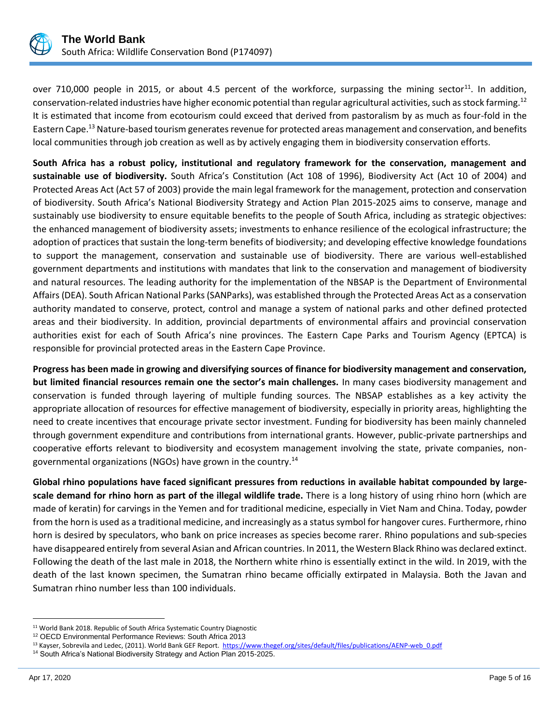

over 710,000 people in 2015, or about 4.5 percent of the workforce, surpassing the mining sector<sup>11</sup>. In addition, conservation-related industries have higher economic potential than regular agricultural activities, such as stock farming.<sup>12</sup> It is estimated that income from ecotourism could exceed that derived from pastoralism by as much as four-fold in the Eastern Cape.<sup>13</sup> Nature-based tourism generates revenue for protected areas management and conservation, and benefits local communities through job creation as well as by actively engaging them in biodiversity conservation efforts.

**South Africa has a robust policy, institutional and regulatory framework for the conservation, management and sustainable use of biodiversity.** South Africa's Constitution (Act 108 of 1996), Biodiversity Act (Act 10 of 2004) and Protected Areas Act (Act 57 of 2003) provide the main legal framework for the management, protection and conservation of biodiversity. South Africa's National Biodiversity Strategy and Action Plan 2015-2025 aims to conserve, manage and sustainably use biodiversity to ensure equitable benefits to the people of South Africa, including as strategic objectives: the enhanced management of biodiversity assets; investments to enhance resilience of the ecological infrastructure; the adoption of practices that sustain the long-term benefits of biodiversity; and developing effective knowledge foundations to support the management, conservation and sustainable use of biodiversity. There are various well-established government departments and institutions with mandates that link to the conservation and management of biodiversity and natural resources. The leading authority for the implementation of the NBSAP is the Department of Environmental Affairs (DEA). South African National Parks (SANParks), was established through the Protected Areas Act as a conservation authority mandated to conserve, protect, control and manage a system of national parks and other defined protected areas and their biodiversity. In addition, provincial departments of environmental affairs and provincial conservation authorities exist for each of South Africa's nine provinces. The Eastern Cape Parks and Tourism Agency (EPTCA) is responsible for provincial protected areas in the Eastern Cape Province.

**Progress has been made in growing and diversifying sources of finance for biodiversity management and conservation, but limited financial resources remain one the sector's main challenges.** In many cases biodiversity management and conservation is funded through layering of multiple funding sources. The NBSAP establishes as a key activity the appropriate allocation of resources for effective management of biodiversity, especially in priority areas, highlighting the need to create incentives that encourage private sector investment. Funding for biodiversity has been mainly channeled through government expenditure and contributions from international grants. However, public-private partnerships and cooperative efforts relevant to biodiversity and ecosystem management involving the state, private companies, nongovernmental organizations (NGOs) have grown in the country.<sup>14</sup>

**Global rhino populations have faced significant pressures from reductions in available habitat compounded by largescale demand for rhino horn as part of the illegal wildlife trade.** There is a long history of using rhino horn (which are made of keratin) for carvings in the Yemen and for traditional medicine, especially in Viet Nam and China. Today, powder from the horn is used as a traditional medicine, and increasingly as a status symbol for hangover cures. Furthermore, rhino horn is desired by speculators, who bank on price increases as species become rarer. Rhino populations and sub-species have disappeared entirely from several Asian and African countries. In 2011, the Western Black Rhino was declared extinct. Following the death of the last male in 2018, the Northern white rhino is essentially extinct in the wild. In 2019, with the death of the last known specimen, the Sumatran rhino became officially extirpated in Malaysia. Both the Javan and Sumatran rhino number less than 100 individuals.

<sup>&</sup>lt;sup>11</sup> World Bank 2018. Republic of South Africa Systematic Country Diagnostic

<sup>12</sup> OECD Environmental Performance Reviews: South Africa 2013

<sup>&</sup>lt;sup>13</sup> Kayser, Sobrevila and Ledec, (2011). World Bank GEF Report. [https://www.thegef.org/sites/default/files/publications/AENP-web\\_0.pdf](https://www.thegef.org/sites/default/files/publications/AENP-web_0.pdf)

<sup>14</sup> South Africa's National Biodiversity Strategy and Action Plan 2015-2025.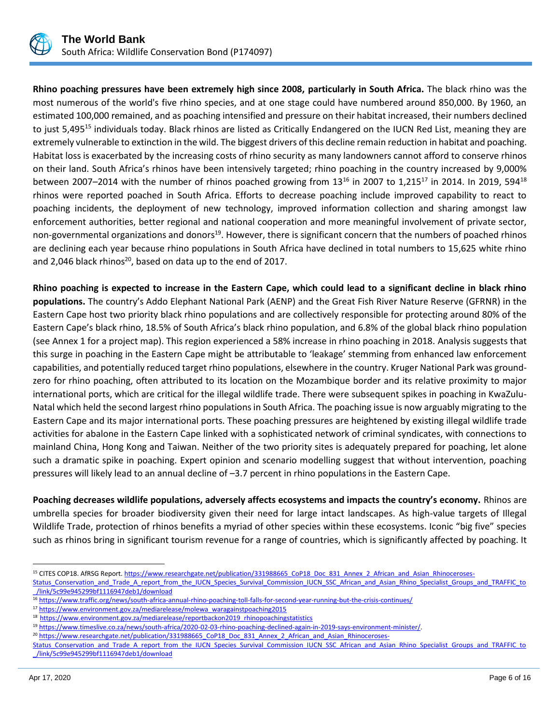

**Rhino poaching pressures have been extremely high since 2008, particularly in South Africa.** The black rhino was the most numerous of the world's five rhino species, and at one stage could have numbered around 850,000. By 1960, an estimated 100,000 remained, and as poaching intensified and pressure on their habitat increased, their numbers declined to just 5,495<sup>15</sup> individuals today. Black rhinos are listed as Critically Endangered on the IUCN Red List, meaning they are extremely vulnerable to extinction in the wild. The biggest drivers of this decline remain reduction in habitat and poaching. Habitat loss is exacerbated by the increasing costs of rhino security as many landowners cannot afford to conserve rhinos on their land. South Africa's rhinos have been intensively targeted; rhino poaching in the country increased by 9,000% between 2007–2014 with the number of rhinos poached growing from  $13^{16}$  in 2007 to 1,215<sup>17</sup> in 2014. In 2019, 594<sup>18</sup> rhinos were reported poached in South Africa. Efforts to decrease poaching include improved capability to react to poaching incidents, the deployment of new technology, improved information collection and sharing amongst law enforcement authorities, better regional and national cooperation and more meaningful involvement of private sector, non-governmental organizations and donors<sup>19</sup>. However, there is significant concern that the numbers of poached rhinos are declining each year because rhino populations in South Africa have declined in total numbers to 15,625 white rhino and 2,046 black rhinos<sup>20</sup>, based on data up to the end of 2017.

**Rhino poaching is expected to increase in the Eastern Cape, which could lead to a significant decline in black rhino populations.** The country's Addo Elephant National Park (AENP) and the Great Fish River Nature Reserve (GFRNR) in the Eastern Cape host two priority black rhino populations and are collectively responsible for protecting around 80% of the Eastern Cape's black rhino, 18.5% of South Africa's black rhino population, and 6.8% of the global black rhino population (see Annex 1 for a project map). This region experienced a 58% increase in rhino poaching in 2018. Analysis suggests that this surge in poaching in the Eastern Cape might be attributable to 'leakage' stemming from enhanced law enforcement capabilities, and potentially reduced target rhino populations, elsewhere in the country. Kruger National Park was groundzero for rhino poaching, often attributed to its location on the Mozambique border and its relative proximity to major international ports, which are critical for the illegal wildlife trade. There were subsequent spikes in poaching in KwaZulu-Natal which held the second largest rhino populations in South Africa. The poaching issue is now arguably migrating to the Eastern Cape and its major international ports. These poaching pressures are heightened by existing illegal wildlife trade activities for abalone in the Eastern Cape linked with a sophisticated network of criminal syndicates, with connections to mainland China, Hong Kong and Taiwan. Neither of the two priority sites is adequately prepared for poaching, let alone such a dramatic spike in poaching. Expert opinion and scenario modelling suggest that without intervention, poaching pressures will likely lead to an annual decline of –3.7 percent in rhino populations in the Eastern Cape.

**Poaching decreases wildlife populations, adversely affects ecosystems and impacts the country's economy.** Rhinos are umbrella species for broader biodiversity given their need for large intact landscapes. As high-value targets of Illegal Wildlife Trade, protection of rhinos benefits a myriad of other species within these ecosystems. Iconic "big five" species such as rhinos bring in significant tourism revenue for a range of countries, which is significantly affected by poaching. It

<sup>&</sup>lt;sup>15</sup> CITES COP18. AfRSG Report[. https://www.researchgate.net/publication/331988665\\_CoP18\\_Doc\\_831\\_Annex\\_2\\_African\\_and\\_Asian\\_Rhinoceroses-](https://www.researchgate.net/publication/331988665_CoP18_Doc_831_Annex_2_African_and_Asian_Rhinoceroses-Status_Conservation_and_Trade_A_report_from_the_IUCN_Species_Survival_Commission_IUCN_SSC_African_and_Asian_Rhino_Specialist_Groups_and_TRAFFIC_to_/link/5c99e945299bf1116947deb1/download)

Status Conservation and Trade A report from the IUCN Species Survival Commission IUCN SSC African and Asian Rhino Specialist Groups and TRAFFIC to [\\_/link/5c99e945299bf1116947deb1/download](https://www.researchgate.net/publication/331988665_CoP18_Doc_831_Annex_2_African_and_Asian_Rhinoceroses-Status_Conservation_and_Trade_A_report_from_the_IUCN_Species_Survival_Commission_IUCN_SSC_African_and_Asian_Rhino_Specialist_Groups_and_TRAFFIC_to_/link/5c99e945299bf1116947deb1/download)

<sup>16</sup> <https://www.traffic.org/news/south-africa-annual-rhino-poaching-toll-falls-for-second-year-running-but-the-crisis-continues/>

<sup>17</sup> [https://www.environment.gov.za/mediarelease/molewa\\_waragainstpoaching2015](https://www.environment.gov.za/mediarelease/molewa_waragainstpoaching2015)

<sup>&</sup>lt;sup>18</sup> [https://www.environment.gov.za/mediarelease/reportbackon2019\\_rhinopoachingstatistics](https://www.environment.gov.za/mediarelease/reportbackon2019_rhinopoachingstatistics)

<sup>19</sup> [https://www.timeslive.co.za/news/south-africa/2020-02-03-rhino-poaching-declined-again-in-2019-says-environment-minister/.](https://www.timeslive.co.za/news/south-africa/2020-02-03-rhino-poaching-declined-again-in-2019-says-environment-minister/)

<sup>&</sup>lt;sup>20</sup> [https://www.researchgate.net/publication/331988665\\_CoP18\\_Doc\\_831\\_Annex\\_2\\_African\\_and\\_Asian\\_Rhinoceroses-](https://www.researchgate.net/publication/331988665_CoP18_Doc_831_Annex_2_African_and_Asian_Rhinoceroses-Status_Conservation_and_Trade_A_report_from_the_IUCN_Species_Survival_Commission_IUCN_SSC_African_and_Asian_Rhino_Specialist_Groups_and_TRAFFIC_to_/link/5c99e945299bf1116947deb1/download)

Status Conservation and Trade A report from the IUCN Species Survival Commission IUCN SSC African and Asian Rhino Specialist Groups and TRAFFIC to [\\_/link/5c99e945299bf1116947deb1/download](https://www.researchgate.net/publication/331988665_CoP18_Doc_831_Annex_2_African_and_Asian_Rhinoceroses-Status_Conservation_and_Trade_A_report_from_the_IUCN_Species_Survival_Commission_IUCN_SSC_African_and_Asian_Rhino_Specialist_Groups_and_TRAFFIC_to_/link/5c99e945299bf1116947deb1/download)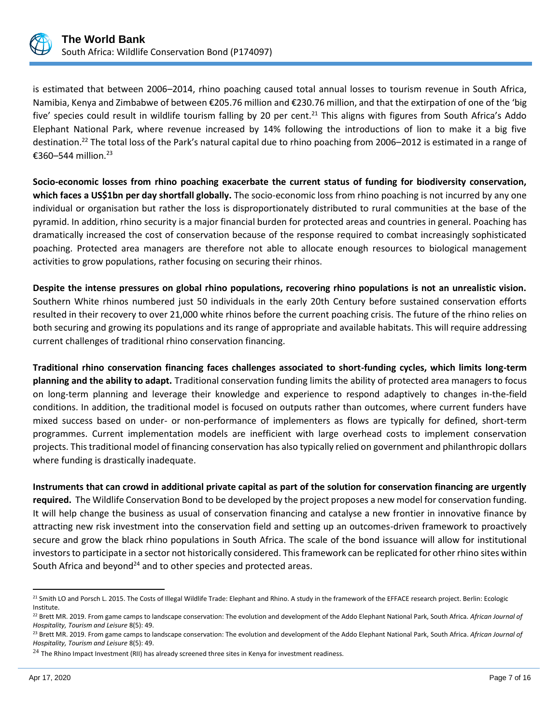

is estimated that between 2006–2014, rhino poaching caused total annual losses to tourism revenue in South Africa, Namibia, Kenya and Zimbabwe of between €205.76 million and €230.76 million, and that the extirpation of one of the 'big five' species could result in wildlife tourism falling by 20 per cent.<sup>21</sup> This aligns with figures from South Africa's Addo Elephant National Park, where revenue increased by 14% following the introductions of lion to make it a big five destination.<sup>22</sup> The total loss of the Park's natural capital due to rhino poaching from 2006–2012 is estimated in a range of €360–544 million.<sup>23</sup>

**Socio-economic losses from rhino poaching exacerbate the current status of funding for biodiversity conservation, which faces a US\$1bn per day shortfall globally.** The socio-economic loss from rhino poaching is not incurred by any one individual or organisation but rather the loss is disproportionately distributed to rural communities at the base of the pyramid. In addition, rhino security is a major financial burden for protected areas and countries in general. Poaching has dramatically increased the cost of conservation because of the response required to combat increasingly sophisticated poaching. Protected area managers are therefore not able to allocate enough resources to biological management activities to grow populations, rather focusing on securing their rhinos.

**Despite the intense pressures on global rhino populations, recovering rhino populations is not an unrealistic vision.** Southern White rhinos numbered just 50 individuals in the early 20th Century before sustained conservation efforts resulted in their recovery to over 21,000 white rhinos before the current poaching crisis. The future of the rhino relies on both securing and growing its populations and its range of appropriate and available habitats. This will require addressing current challenges of traditional rhino conservation financing.

**Traditional rhino conservation financing faces challenges associated to short-funding cycles, which limits long-term planning and the ability to adapt.** Traditional conservation funding limits the ability of protected area managers to focus on long-term planning and leverage their knowledge and experience to respond adaptively to changes in-the-field conditions. In addition, the traditional model is focused on outputs rather than outcomes, where current funders have mixed success based on under- or non-performance of implementers as flows are typically for defined, short-term programmes. Current implementation models are inefficient with large overhead costs to implement conservation projects. This traditional model of financing conservation has also typically relied on government and philanthropic dollars where funding is drastically inadequate.

**Instruments that can crowd in additional private capital as part of the solution for conservation financing are urgently required.** The Wildlife Conservation Bond to be developed by the project proposes a new model for conservation funding. It will help change the business as usual of conservation financing and catalyse a new frontier in innovative finance by attracting new risk investment into the conservation field and setting up an outcomes-driven framework to proactively secure and grow the black rhino populations in South Africa. The scale of the bond issuance will allow for institutional investors to participate in a sector not historically considered. This framework can be replicated for other rhino sites within South Africa and beyond<sup>24</sup> and to other species and protected areas.

<sup>&</sup>lt;sup>21</sup> Smith LO and Porsch L. 2015. The Costs of Illegal Wildlife Trade: Elephant and Rhino. A study in the framework of the EFFACE research project. Berlin: Ecologic Institute.

<sup>22</sup> Brett MR. 2019. From game camps to landscape conservation: The evolution and development of the Addo Elephant National Park, South Africa. *African Journal of Hospitality, Tourism and Leisure* 8(5): 49.

<sup>23</sup> Brett MR. 2019. From game camps to landscape conservation: The evolution and development of the Addo Elephant National Park, South Africa. *African Journal of Hospitality, Tourism and Leisure* 8(5): 49.

 $^{24}$  The Rhino Impact Investment (RII) has already screened three sites in Kenya for investment readiness.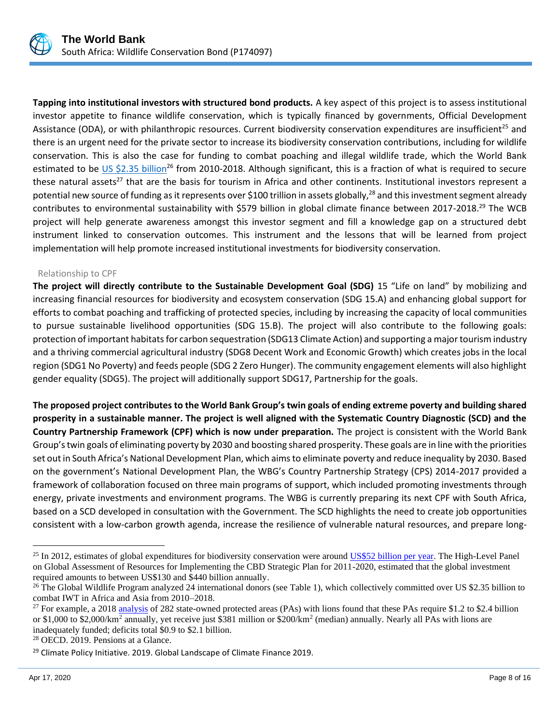

**Tapping into institutional investors with structured bond products.** A key aspect of this project is to assess institutional investor appetite to finance wildlife conservation, which is typically financed by governments, Official Development Assistance (ODA), or with philanthropic resources. Current biodiversity conservation expenditures are insufficient<sup>25</sup> and there is an urgent need for the private sector to increase its biodiversity conservation contributions, including for wildlife conservation. This is also the case for funding to combat poaching and illegal wildlife trade, which the World Bank estimated to be [US \\$2.35 billion](http://www.appsolutelydigital.com/WildLife/chapter3.html)<sup>26</sup> from 2010-2018. Although significant, this is a fraction of what is required to secure these natural assets<sup>27</sup> that are the basis for tourism in Africa and other continents. Institutional investors represent a potential new source of funding as it represents over \$100 trillion in assets globally,<sup>28</sup> and this investment segment already contributes to environmental sustainability with \$579 billion in global climate finance between 2017-2018.<sup>29</sup> The WCB project will help generate awareness amongst this investor segment and fill a knowledge gap on a structured debt instrument linked to conservation outcomes. This instrument and the lessons that will be learned from project implementation will help promote increased institutional investments for biodiversity conservation.

#### Relationship to CPF

**The project will directly contribute to the Sustainable Development Goal (SDG)** 15 "Life on land" by mobilizing and increasing financial resources for biodiversity and ecosystem conservation (SDG 15.A) and enhancing global support for efforts to combat poaching and trafficking of protected species, including by increasing the capacity of local communities to pursue sustainable livelihood opportunities (SDG 15.B). The project will also contribute to the following goals: protection of important habitats for carbon sequestration (SDG13 Climate Action) and supporting a major tourism industry and a thriving commercial agricultural industry (SDG8 Decent Work and Economic Growth) which creates jobs in the local region (SDG1 No Poverty) and feeds people (SDG 2 Zero Hunger). The community engagement elements will also highlight gender equality (SDG5). The project will additionally support SDG17, Partnership for the goals.

**The proposed project contributes to the World Bank Group's twin goals of ending extreme poverty and building shared prosperity in a sustainable manner. The project is well aligned with the Systematic Country Diagnostic (SCD) and the Country Partnership Framework (CPF) which is now under preparation.** The project is consistent with the World Bank Group's twin goals of eliminating poverty by 2030 and boosting shared prosperity. These goals are in line with the priorities set out in South Africa's National Development Plan, which aims to eliminate poverty and reduce inequality by 2030. Based on the government's National Development Plan, the WBG's Country Partnership Strategy (CPS) 2014-2017 provided a framework of collaboration focused on three main programs of support, which included promoting investments through energy, private investments and environment programs. The WBG is currently preparing its next CPF with South Africa, based on a SCD developed in consultation with the Government. The SCD highlights the need to create job opportunities consistent with a low-carbon growth agenda, increase the resilience of vulnerable natural resources, and prepare long-

<sup>&</sup>lt;sup>25</sup> In 2012, estimates of global expenditures for biodiversity conservation were aroun[d US\\$52 billion per year.](https://www.biodiversityfinance.net/history) The High-Level Panel on Global Assessment of Resources for Implementing the CBD Strategic Plan for 2011-2020, estimated that the global investment required amounts to between US\$130 and \$440 billion annually.

<sup>&</sup>lt;sup>26</sup> The Global Wildlife Program analyzed 24 international donors (see Table 1), which collectively committed over US \$2.35 billion to combat IWT in Africa and Asia from 2010–2018.

<sup>&</sup>lt;sup>27</sup> For example, a 201[8 analysis](https://www.pnas.org/content/115/45/E10788) of 282 state-owned protected areas (PAs) with lions found that these PAs require \$1.2 to \$2.4 billion or \$1,000 to \$2,000/km<sup>2</sup> annually, yet receive just \$381 million or \$200/km<sup>2</sup> (median) annually. Nearly all PAs with lions are inadequately funded; deficits total \$0.9 to \$2.1 billion.

<sup>28</sup> OECD. 2019. Pensions at a Glance.

<sup>&</sup>lt;sup>29</sup> Climate Policy Initiative. 2019. Global Landscape of Climate Finance 2019.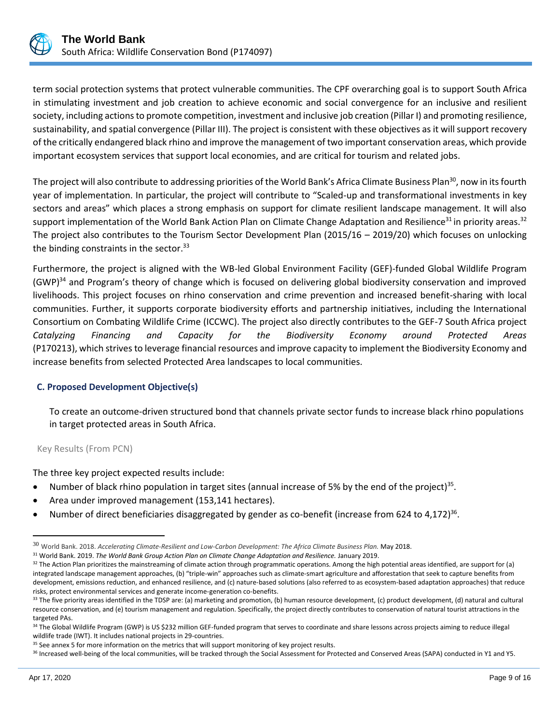

term social protection systems that protect vulnerable communities. The CPF overarching goal is to support South Africa in stimulating investment and job creation to achieve economic and social convergence for an inclusive and resilient society, including actions to promote competition, investment and inclusive job creation (Pillar I) and promoting resilience, sustainability, and spatial convergence (Pillar III). The project is consistent with these objectives as it will support recovery of the critically endangered black rhino and improve the management of two important conservation areas, which provide important ecosystem services that support local economies, and are critical for tourism and related jobs.

The project will also contribute to addressing priorities of the World Bank's Africa Climate Business Plan<sup>30</sup>, now in its fourth year of implementation. In particular, the project will contribute to "Scaled-up and transformational investments in key sectors and areas" which places a strong emphasis on support for climate resilient landscape management. It will also support implementation of the World Bank Action Plan on Climate Change Adaptation and Resilience<sup>31</sup> in priority areas.<sup>32</sup> The project also contributes to the Tourism Sector Development Plan (2015/16 – 2019/20) which focuses on unlocking the binding constraints in the sector.<sup>33</sup>

Furthermore, the project is aligned with the WB-led Global Environment Facility (GEF)-funded Global Wildlife Program (GWP)<sup>34</sup> and Program's theory of change which is focused on delivering global biodiversity conservation and improved livelihoods. This project focuses on rhino conservation and crime prevention and increased benefit-sharing with local communities. Further, it supports corporate biodiversity efforts and partnership initiatives, including the International Consortium on Combating Wildlife Crime (ICCWC). The project also directly contributes to the GEF-7 South Africa project *Catalyzing Financing and Capacity for the Biodiversity Economy around Protected Areas* (P170213), which strives to leverage financial resources and improve capacity to implement the Biodiversity Economy and increase benefits from selected Protected Area landscapes to local communities.

# **C. Proposed Development Objective(s)**

To create an outcome-driven structured bond that channels private sector funds to increase black rhino populations in target protected areas in South Africa.

## Key Results (From PCN)

The three key project expected results include:

- Number of black rhino population in target sites (annual increase of 5% by the end of the project)<sup>35</sup>.
- Area under improved management (153,141 hectares).
- Number of direct beneficiaries disaggregated by gender as co-benefit (increase from 624 to 4,172)<sup>36</sup>.

<sup>30</sup> World Bank. 2018. *Accelerating Climate-Resilient and Low-Carbon Development: The Africa Climate Business Plan.* May 2018.

<sup>31</sup> World Bank. 2019. *The World Bank Group Action Plan on Climate Change Adaptation and Resilience.* January 2019.

 $32$  The Action Plan prioritizes the mainstreaming of climate action through programmatic operations. Among the high potential areas identified, are support for (a) integrated landscape management approaches, (b) "triple-win" approaches such as climate-smart agriculture and afforestation that seek to capture benefits from development, emissions reduction, and enhanced resilience, and (c) nature-based solutions (also referred to as ecosystem-based adaptation approaches) that reduce risks, protect environmental services and generate income-generation co-benefits.

 $33$  The five priority areas identified in the TDSP are: (a) marketing and promotion, (b) human resource development, (c) product development, (d) natural and cultural resource conservation, and (e) tourism management and regulation. Specifically, the project directly contributes to conservation of natural tourist attractions in the targeted PAs.

<sup>34</sup> The Global Wildlife Program (GWP) is US \$232 million GEF-funded program that serves to coordinate and share lessons across projects aiming to reduce illegal wildlife trade (IWT). It includes national projects in 29-countries.

<sup>&</sup>lt;sup>35</sup> See annex 5 for more information on the metrics that will support monitoring of key project results.

<sup>36</sup> Increased well-being of the local communities, will be tracked through the Social Assessment for Protected and Conserved Areas (SAPA) conducted in Y1 and Y5.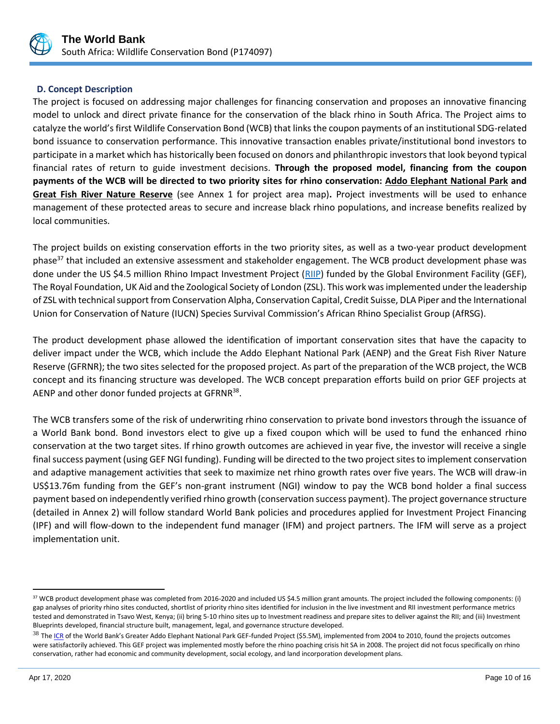

# **D. Concept Description**

The project is focused on addressing major challenges for financing conservation and proposes an innovative financing model to unlock and direct private finance for the conservation of the black rhino in South Africa. The Project aims to catalyze the world's first Wildlife Conservation Bond (WCB) that links the coupon payments of an institutional SDG-related bond issuance to conservation performance. This innovative transaction enables private/institutional bond investors to participate in a market which has historically been focused on donors and philanthropic investors that look beyond typical financial rates of return to guide investment decisions. **Through the proposed model, financing from the coupon payments of the WCB will be directed to two priority sites for rhino conservation: Addo Elephant National Park and Great Fish River Nature Reserve** (see Annex 1 for project area map)**.** Project investments will be used to enhance management of these protected areas to secure and increase black rhino populations, and increase benefits realized by local communities.

The project builds on existing conservation efforts in the two priority sites, as well as a two-year product development phase<sup>37</sup> that included an extensive assessment and stakeholder engagement. The WCB product development phase was done under the US \$4.5 million Rhino Impact Investment Project [\(RIIP\)](https://www.thegef.org/sites/default/files/project_documents/5382_Rhino_Impact_Bonds_CEO_Endorsement_GEF_resubmission_5Oct15_2pm_0.pdf) funded by the Global Environment Facility (GEF), The Royal Foundation, UK Aid and the Zoological Society of London (ZSL). This work was implemented under the leadership of ZSL with technical support from Conservation Alpha, Conservation Capital, Credit Suisse, DLA Piper and the International Union for Conservation of Nature (IUCN) Species Survival Commission's African Rhino Specialist Group (AfRSG).

The product development phase allowed the identification of important conservation sites that have the capacity to deliver impact under the WCB, which include the Addo Elephant National Park (AENP) and the Great Fish River Nature Reserve (GFRNR); the two sites selected for the proposed project. As part of the preparation of the WCB project, the WCB concept and its financing structure was developed. The WCB concept preparation efforts build on prior GEF projects at AENP and other donor funded projects at GFRNR<sup>38</sup>.

The WCB transfers some of the risk of underwriting rhino conservation to private bond investors through the issuance of a World Bank bond. Bond investors elect to give up a fixed coupon which will be used to fund the enhanced rhino conservation at the two target sites. If rhino growth outcomes are achieved in year five, the investor will receive a single final success payment (using GEF NGI funding). Funding will be directed to the two project sites to implement conservation and adaptive management activities that seek to maximize net rhino growth rates over five years. The WCB will draw-in US\$13.76m funding from the GEF's non-grant instrument (NGI) window to pay the WCB bond holder a final success payment based on independently verified rhino growth (conservation success payment). The project governance structure (detailed in Annex 2) will follow standard World Bank policies and procedures applied for Investment Project Financing (IPF) and will flow-down to the independent fund manager (IFM) and project partners. The IFM will serve as a project implementation unit.

<sup>&</sup>lt;sup>37</sup> WCB product development phase was completed from 2016-2020 and included US \$4.5 million grant amounts. The project included the following components: (i) gap analyses of priority rhino sites conducted, shortlist of priority rhino sites identified for inclusion in the live investment and RII investment performance metrics tested and demonstrated in Tsavo West, Kenya; (ii) bring 5-10 rhino sites up to Investment readiness and prepare sites to deliver against the RII; and (iii) Investment Blueprints developed, financial structure built, management, legal, and governance structure developed.

<sup>&</sup>lt;sup>38</sup> Th[e ICR](http://documents.worldbank.org/curated/en/229761468115746597/pdf/ICR18830P064430e0only0900BOX361518B.pdf) of the World Bank's Greater Addo Elephant National Park GEF-funded Project (\$5.5M), implemented from 2004 to 2010, found the projects outcomes were satisfactorily achieved. This GEF project was implemented mostly before the rhino poaching crisis hit SA in 2008. The project did not focus specifically on rhino conservation, rather had economic and community development, social ecology, and land incorporation development plans.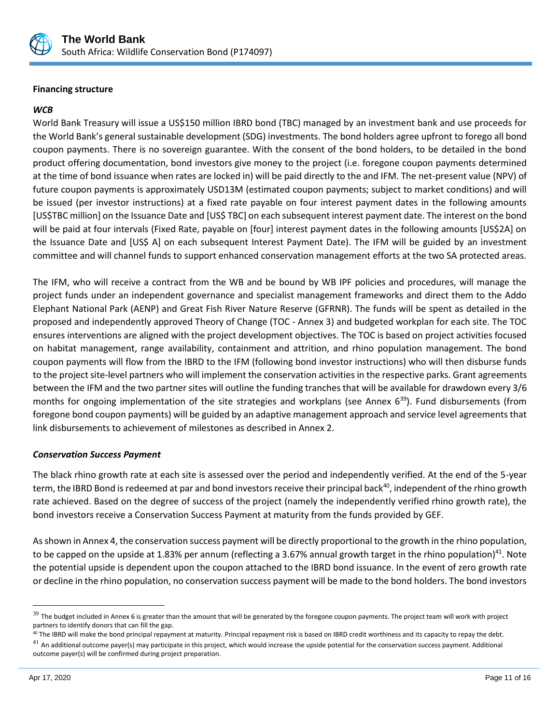

## **Financing structure**

## *WCB*

World Bank Treasury will issue a US\$150 million IBRD bond (TBC) managed by an investment bank and use proceeds for the World Bank's general sustainable development (SDG) investments. The bond holders agree upfront to forego all bond coupon payments. There is no sovereign guarantee. With the consent of the bond holders, to be detailed in the bond product offering documentation, bond investors give money to the project (i.e. foregone coupon payments determined at the time of bond issuance when rates are locked in) will be paid directly to the and IFM. The net-present value (NPV) of future coupon payments is approximately USD13M (estimated coupon payments; subject to market conditions) and will be issued (per investor instructions) at a fixed rate payable on four interest payment dates in the following amounts [US\$TBC million] on the Issuance Date and [US\$ TBC] on each subsequent interest payment date. The interest on the bond will be paid at four intervals (Fixed Rate, payable on [four] interest payment dates in the following amounts [US\$2A] on the Issuance Date and [US\$ A] on each subsequent Interest Payment Date). The IFM will be guided by an investment committee and will channel funds to support enhanced conservation management efforts at the two SA protected areas.

The IFM, who will receive a contract from the WB and be bound by WB IPF policies and procedures, will manage the project funds under an independent governance and specialist management frameworks and direct them to the Addo Elephant National Park (AENP) and Great Fish River Nature Reserve (GFRNR). The funds will be spent as detailed in the proposed and independently approved Theory of Change (TOC - Annex 3) and budgeted workplan for each site. The TOC ensures interventions are aligned with the project development objectives. The TOC is based on project activities focused on habitat management, range availability, containment and attrition, and rhino population management. The bond coupon payments will flow from the IBRD to the IFM (following bond investor instructions) who will then disburse funds to the project site-level partners who will implement the conservation activities in the respective parks. Grant agreements between the IFM and the two partner sites will outline the funding tranches that will be available for drawdown every 3/6 months for ongoing implementation of the site strategies and workplans (see Annex  $6^{39}$ ). Fund disbursements (from foregone bond coupon payments) will be guided by an adaptive management approach and service level agreements that link disbursements to achievement of milestones as described in Annex 2.

## *Conservation Success Payment*

The black rhino growth rate at each site is assessed over the period and independently verified. At the end of the 5-year term, the IBRD Bond is redeemed at par and bond investors receive their principal back<sup>40</sup>, independent of the rhino growth rate achieved. Based on the degree of success of the project (namely the independently verified rhino growth rate), the bond investors receive a Conservation Success Payment at maturity from the funds provided by GEF.

As shown in Annex 4, the conservation success payment will be directly proportional to the growth in the rhino population, to be capped on the upside at 1.83% per annum (reflecting a 3.67% annual growth target in the rhino population)<sup>41</sup>. Note the potential upside is dependent upon the coupon attached to the IBRD bond issuance. In the event of zero growth rate or decline in the rhino population, no conservation success payment will be made to the bond holders. The bond investors

 $39$  The budget included in Annex 6 is greater than the amount that will be generated by the foregone coupon payments. The project team will work with project partners to identify donors that can fill the gap.

<sup>&</sup>lt;sup>40</sup> The IBRD will make the bond principal repayment at maturity. Principal repayment risk is based on IBRD credit worthiness and its capacity to repay the debt.

 $^{41}$  An additional outcome paver(s) mav participate in this project, which would increase the upside potential for the conservation success payment. Additional outcome payer(s) will be confirmed during project preparation.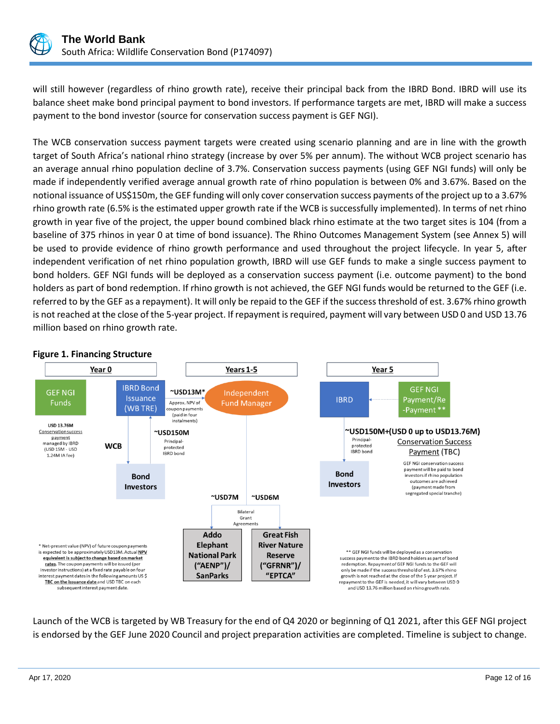

will still however (regardless of rhino growth rate), receive their principal back from the IBRD Bond. IBRD will use its balance sheet make bond principal payment to bond investors. If performance targets are met, IBRD will make a success payment to the bond investor (source for conservation success payment is GEF NGI).

The WCB conservation success payment targets were created using scenario planning and are in line with the growth target of South Africa's national rhino strategy (increase by over 5% per annum). The without WCB project scenario has an average annual rhino population decline of 3.7%. Conservation success payments (using GEF NGI funds) will only be made if independently verified average annual growth rate of rhino population is between 0% and 3.67%. Based on the notional issuance of US\$150m, the GEF funding will only cover conservation success payments of the project up to a 3.67% rhino growth rate (6.5% is the estimated upper growth rate if the WCB is successfully implemented). In terms of net rhino growth in year five of the project, the upper bound combined black rhino estimate at the two target sites is 104 (from a baseline of 375 rhinos in year 0 at time of bond issuance). The Rhino Outcomes Management System (see Annex 5) will be used to provide evidence of rhino growth performance and used throughout the project lifecycle. In year 5, after independent verification of net rhino population growth, IBRD will use GEF funds to make a single success payment to bond holders. GEF NGI funds will be deployed as a conservation success payment (i.e. outcome payment) to the bond holders as part of bond redemption. If rhino growth is not achieved, the GEF NGI funds would be returned to the GEF (i.e. referred to by the GEF as a repayment). It will only be repaid to the GEF if the success threshold of est. 3.67% rhino growth is not reached at the close of the 5-year project. If repayment is required, payment will vary between USD 0 and USD 13.76 million based on rhino growth rate.



#### **Figure 1. Financing Structure**

Launch of the WCB is targeted by WB Treasury for the end of Q4 2020 or beginning of Q1 2021, after this GEF NGI project is endorsed by the GEF June 2020 Council and project preparation activities are completed. Timeline is subject to change.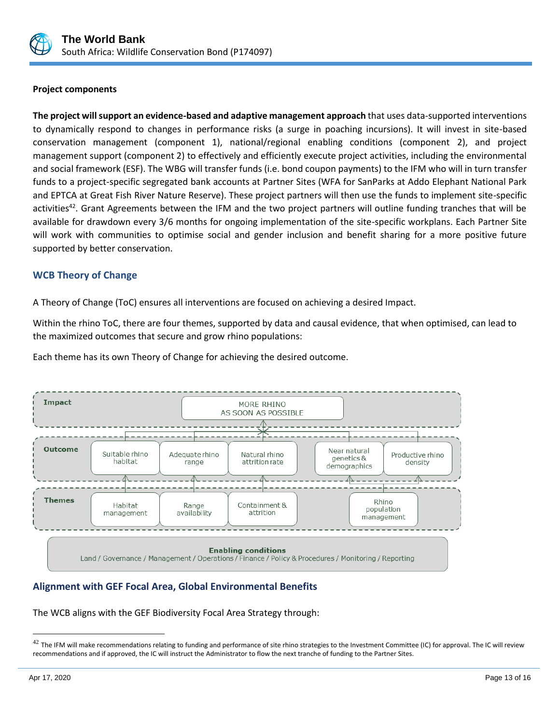

## **Project components**

**The project will support an evidence-based and adaptive management approach** that uses data-supported interventions to dynamically respond to changes in performance risks (a surge in poaching incursions). It will invest in site-based conservation management (component 1), national/regional enabling conditions (component 2), and project management support (component 2) to effectively and efficiently execute project activities, including the environmental and social framework (ESF). The WBG will transfer funds (i.e. bond coupon payments) to the IFM who will in turn transfer funds to a project-specific segregated bank accounts at Partner Sites (WFA for SanParks at Addo Elephant National Park and EPTCA at Great Fish River Nature Reserve). These project partners will then use the funds to implement site-specific activities<sup>42</sup>. Grant Agreements between the IFM and the two project partners will outline funding tranches that will be available for drawdown every 3/6 months for ongoing implementation of the site-specific workplans. Each Partner Site will work with communities to optimise social and gender inclusion and benefit sharing for a more positive future supported by better conservation.

# **WCB Theory of Change**

A Theory of Change (ToC) ensures all interventions are focused on achieving a desired Impact.

Within the rhino ToC, there are four themes, supported by data and causal evidence, that when optimised, can lead to the maximized outcomes that secure and grow rhino populations:

Each theme has its own Theory of Change for achieving the desired outcome.



# **Alignment with GEF Focal Area, Global Environmental Benefits**

The WCB aligns with the GEF Biodiversity Focal Area Strategy through:

 $42$  The IFM will make recommendations relating to funding and performance of site rhino strategies to the Investment Committee (IC) for approval. The IC will review recommendations and if approved, the IC will instruct the Administrator to flow the next tranche of funding to the Partner Sites.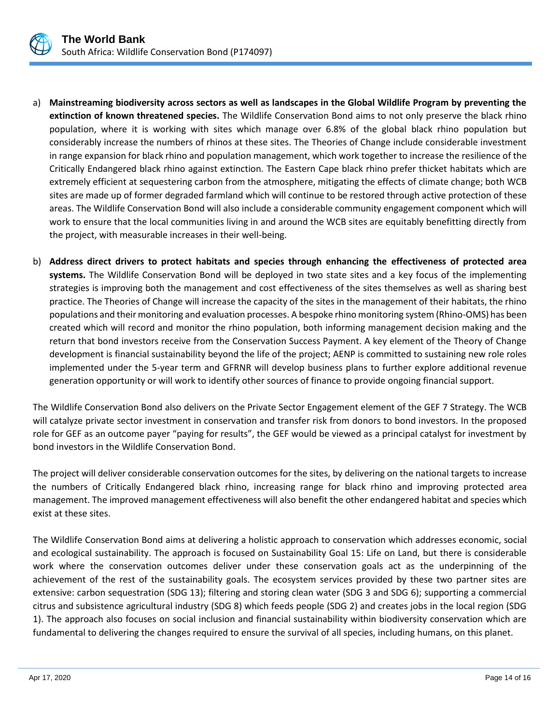

- a) **Mainstreaming biodiversity across sectors as well as landscapes in the Global Wildlife Program by preventing the extinction of known threatened species.** The Wildlife Conservation Bond aims to not only preserve the black rhino population, where it is working with sites which manage over 6.8% of the global black rhino population but considerably increase the numbers of rhinos at these sites. The Theories of Change include considerable investment in range expansion for black rhino and population management, which work together to increase the resilience of the Critically Endangered black rhino against extinction. The Eastern Cape black rhino prefer thicket habitats which are extremely efficient at sequestering carbon from the atmosphere, mitigating the effects of climate change; both WCB sites are made up of former degraded farmland which will continue to be restored through active protection of these areas. The Wildlife Conservation Bond will also include a considerable community engagement component which will work to ensure that the local communities living in and around the WCB sites are equitably benefitting directly from the project, with measurable increases in their well-being.
- b) **Address direct drivers to protect habitats and species through enhancing the effectiveness of protected area systems.** The Wildlife Conservation Bond will be deployed in two state sites and a key focus of the implementing strategies is improving both the management and cost effectiveness of the sites themselves as well as sharing best practice. The Theories of Change will increase the capacity of the sites in the management of their habitats, the rhino populations and their monitoring and evaluation processes. A bespoke rhino monitoring system (Rhino-OMS) has been created which will record and monitor the rhino population, both informing management decision making and the return that bond investors receive from the Conservation Success Payment. A key element of the Theory of Change development is financial sustainability beyond the life of the project; AENP is committed to sustaining new role roles implemented under the 5-year term and GFRNR will develop business plans to further explore additional revenue generation opportunity or will work to identify other sources of finance to provide ongoing financial support.

The Wildlife Conservation Bond also delivers on the Private Sector Engagement element of the GEF 7 Strategy. The WCB will catalyze private sector investment in conservation and transfer risk from donors to bond investors. In the proposed role for GEF as an outcome payer "paying for results", the GEF would be viewed as a principal catalyst for investment by bond investors in the Wildlife Conservation Bond.

The project will deliver considerable conservation outcomes for the sites, by delivering on the national targets to increase the numbers of Critically Endangered black rhino, increasing range for black rhino and improving protected area management. The improved management effectiveness will also benefit the other endangered habitat and species which exist at these sites.

The Wildlife Conservation Bond aims at delivering a holistic approach to conservation which addresses economic, social and ecological sustainability. The approach is focused on Sustainability Goal 15: Life on Land, but there is considerable work where the conservation outcomes deliver under these conservation goals act as the underpinning of the achievement of the rest of the sustainability goals. The ecosystem services provided by these two partner sites are extensive: carbon sequestration (SDG 13); filtering and storing clean water (SDG 3 and SDG 6); supporting a commercial citrus and subsistence agricultural industry (SDG 8) which feeds people (SDG 2) and creates jobs in the local region (SDG 1). The approach also focuses on social inclusion and financial sustainability within biodiversity conservation which are fundamental to delivering the changes required to ensure the survival of all species, including humans, on this planet.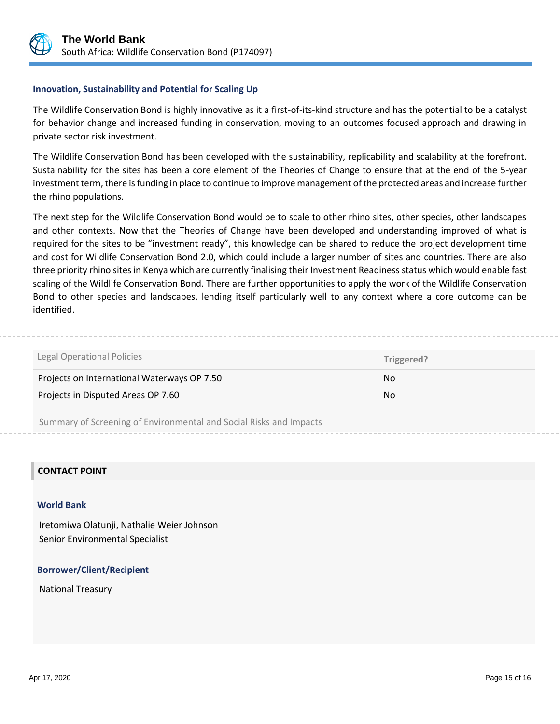

#### **Innovation, Sustainability and Potential for Scaling Up**

The Wildlife Conservation Bond is highly innovative as it a first-of-its-kind structure and has the potential to be a catalyst for behavior change and increased funding in conservation, moving to an outcomes focused approach and drawing in private sector risk investment.

The Wildlife Conservation Bond has been developed with the sustainability, replicability and scalability at the forefront. Sustainability for the sites has been a core element of the Theories of Change to ensure that at the end of the 5-year investment term, there is funding in place to continue to improve management of the protected areas and increase further the rhino populations.

The next step for the Wildlife Conservation Bond would be to scale to other rhino sites, other species, other landscapes and other contexts. Now that the Theories of Change have been developed and understanding improved of what is required for the sites to be "investment ready", this knowledge can be shared to reduce the project development time and cost for Wildlife Conservation Bond 2.0, which could include a larger number of sites and countries. There are also three priority rhino sites in Kenya which are currently finalising their Investment Readiness status which would enable fast scaling of the Wildlife Conservation Bond. There are further opportunities to apply the work of the Wildlife Conservation Bond to other species and landscapes, lending itself particularly well to any context where a core outcome can be identified.

| Legal Operational Policies                  | Triggered? |
|---------------------------------------------|------------|
| Projects on International Waterways OP 7.50 | No.        |
| Projects in Disputed Areas OP 7.60          | No.        |
|                                             |            |

Summary of Screening of Environmental and Social Risks and Impacts

#### **CONTACT POINT**

#### **World Bank**

Iretomiwa Olatunji, Nathalie Weier Johnson Senior Environmental Specialist

#### **Borrower/Client/Recipient**

National Treasury